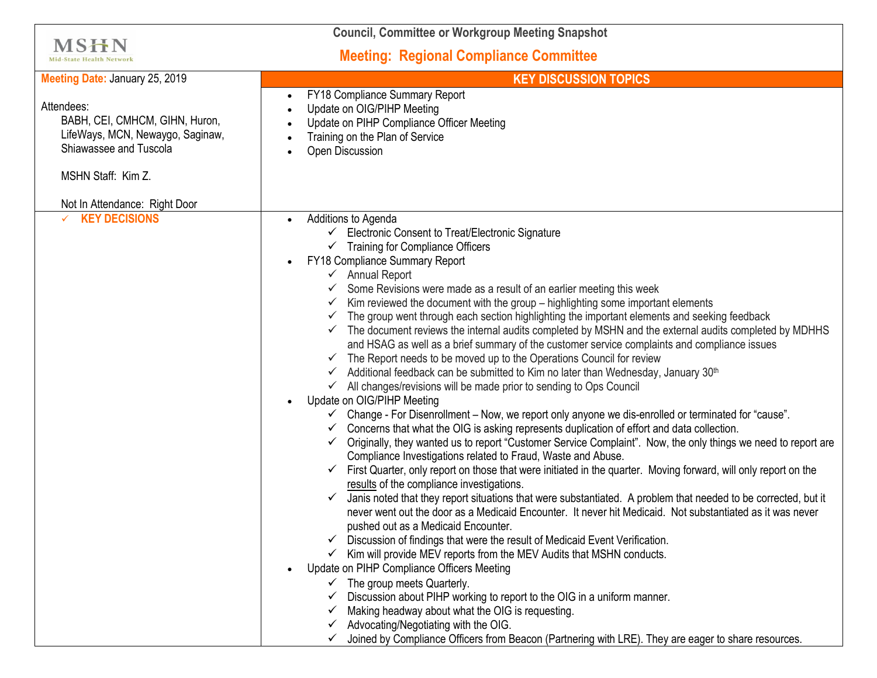| <b>Council, Committee or Workgroup Meeting Snapshot</b>                                                                          |                                                                                                                                                                                                                                                                                                                                                                                                                                                                                                                                                                                                                                                                                                                                                                                                                                                                                                                                                                                                                                                                                                                                                                                                                                                                                                                                                                                                                                                                                                                                                                                                                                                                                                                                                                                                                                                                                                                                                                                                                                                                                                                                                                                                                                                                                                                                                                                                                     |
|----------------------------------------------------------------------------------------------------------------------------------|---------------------------------------------------------------------------------------------------------------------------------------------------------------------------------------------------------------------------------------------------------------------------------------------------------------------------------------------------------------------------------------------------------------------------------------------------------------------------------------------------------------------------------------------------------------------------------------------------------------------------------------------------------------------------------------------------------------------------------------------------------------------------------------------------------------------------------------------------------------------------------------------------------------------------------------------------------------------------------------------------------------------------------------------------------------------------------------------------------------------------------------------------------------------------------------------------------------------------------------------------------------------------------------------------------------------------------------------------------------------------------------------------------------------------------------------------------------------------------------------------------------------------------------------------------------------------------------------------------------------------------------------------------------------------------------------------------------------------------------------------------------------------------------------------------------------------------------------------------------------------------------------------------------------------------------------------------------------------------------------------------------------------------------------------------------------------------------------------------------------------------------------------------------------------------------------------------------------------------------------------------------------------------------------------------------------------------------------------------------------------------------------------------------------|
| MSHN<br><b>Mid-State Health Network</b>                                                                                          | <b>Meeting: Regional Compliance Committee</b>                                                                                                                                                                                                                                                                                                                                                                                                                                                                                                                                                                                                                                                                                                                                                                                                                                                                                                                                                                                                                                                                                                                                                                                                                                                                                                                                                                                                                                                                                                                                                                                                                                                                                                                                                                                                                                                                                                                                                                                                                                                                                                                                                                                                                                                                                                                                                                       |
| Meeting Date: January 25, 2019                                                                                                   | <b>KEY DISCUSSION TOPICS</b>                                                                                                                                                                                                                                                                                                                                                                                                                                                                                                                                                                                                                                                                                                                                                                                                                                                                                                                                                                                                                                                                                                                                                                                                                                                                                                                                                                                                                                                                                                                                                                                                                                                                                                                                                                                                                                                                                                                                                                                                                                                                                                                                                                                                                                                                                                                                                                                        |
| Attendees:<br>BABH, CEI, CMHCM, GIHN, Huron,<br>LifeWays, MCN, Newaygo, Saginaw,<br>Shiawassee and Tuscola<br>MSHN Staff: Kim Z. | FY18 Compliance Summary Report<br>Update on OIG/PIHP Meeting<br>Update on PIHP Compliance Officer Meeting<br>Training on the Plan of Service<br>Open Discussion                                                                                                                                                                                                                                                                                                                                                                                                                                                                                                                                                                                                                                                                                                                                                                                                                                                                                                                                                                                                                                                                                                                                                                                                                                                                                                                                                                                                                                                                                                                                                                                                                                                                                                                                                                                                                                                                                                                                                                                                                                                                                                                                                                                                                                                     |
| Not In Attendance: Right Door                                                                                                    |                                                                                                                                                                                                                                                                                                                                                                                                                                                                                                                                                                                                                                                                                                                                                                                                                                                                                                                                                                                                                                                                                                                                                                                                                                                                                                                                                                                                                                                                                                                                                                                                                                                                                                                                                                                                                                                                                                                                                                                                                                                                                                                                                                                                                                                                                                                                                                                                                     |
| <b>KEY DECISIONS</b>                                                                                                             | Additions to Agenda<br>Electronic Consent to Treat/Electronic Signature<br>$\checkmark$ Training for Compliance Officers<br>FY18 Compliance Summary Report<br>$\checkmark$ Annual Report<br>Some Revisions were made as a result of an earlier meeting this week<br>Kim reviewed the document with the group – highlighting some important elements<br>$\checkmark$<br>The group went through each section highlighting the important elements and seeking feedback<br>$\checkmark$<br>$\checkmark$ The document reviews the internal audits completed by MSHN and the external audits completed by MDHHS<br>and HSAG as well as a brief summary of the customer service complaints and compliance issues<br>The Report needs to be moved up to the Operations Council for review<br>$\checkmark$<br>Additional feedback can be submitted to Kim no later than Wednesday, January 30 <sup>th</sup><br>$\checkmark$ All changes/revisions will be made prior to sending to Ops Council<br>Update on OIG/PIHP Meeting<br>← Change - For Disenrollment – Now, we report only anyone we dis-enrolled or terminated for "cause".<br>Concerns that what the OIG is asking represents duplication of effort and data collection.<br>Originally, they wanted us to report "Customer Service Complaint". Now, the only things we need to report are<br>$\checkmark$<br>Compliance Investigations related to Fraud, Waste and Abuse.<br>First Quarter, only report on those that were initiated in the quarter. Moving forward, will only report on the<br>$\checkmark$<br>results of the compliance investigations.<br>Janis noted that they report situations that were substantiated. A problem that needed to be corrected, but it<br>never went out the door as a Medicaid Encounter. It never hit Medicaid. Not substantiated as it was never<br>pushed out as a Medicaid Encounter.<br>Discussion of findings that were the result of Medicaid Event Verification.<br>Kim will provide MEV reports from the MEV Audits that MSHN conducts.<br>✔<br>Update on PIHP Compliance Officers Meeting<br>$\checkmark$ The group meets Quarterly.<br>Discussion about PIHP working to report to the OIG in a uniform manner.<br>Making headway about what the OIG is requesting.<br>Advocating/Negotiating with the OIG.<br>Joined by Compliance Officers from Beacon (Partnering with LRE). They are eager to share resources. |